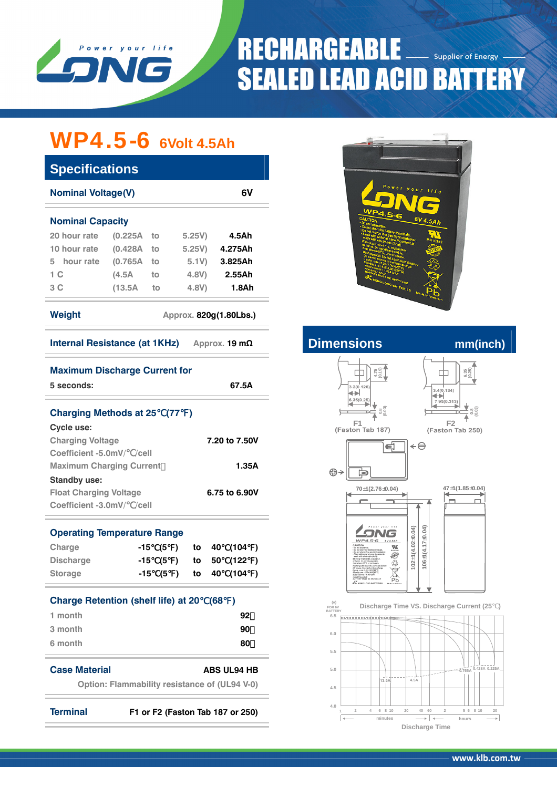

### **RECHARGEABLE Supplier of Energy SEALED LEAD ACID BATTERY**

## WP4.5-6 **6Volt 4.5Ah**

| <b>Specifications</b>            |               |    |       |         |  |  |  |  |
|----------------------------------|---------------|----|-------|---------|--|--|--|--|
| 6V<br><b>Nominal Voltage(V)</b>  |               |    |       |         |  |  |  |  |
| <b>Nominal Capacity</b>          |               |    |       |         |  |  |  |  |
| 20 hour rate                     | $(0.225A)$ to |    | 5.25V | 4.5Ah   |  |  |  |  |
| 10 hour rate                     | (0.428A)      | to | 5.25V | 4.275Ah |  |  |  |  |
| 5 hour rate                      | (0.765A)      | to | 5.1V  | 3.825Ah |  |  |  |  |
| 1 C                              | (4.5A         | to | 4.8V  | 2.55Ah  |  |  |  |  |
| 3 C                              | (13.5A)       | to | 4.8V  | 1.8Ah   |  |  |  |  |
| Weight<br>Approx. 820q(1.80Lbs.) |               |    |       |         |  |  |  |  |

| <b>Internal Resistance (at 1KHz)</b><br>Approx. 19 $m\Omega$ |  |
|--------------------------------------------------------------|--|
|--------------------------------------------------------------|--|

| <b>Maximum Discharge Current for</b><br>5 seconds:                                                                                    | 67.5A                                                                       | $4.75$<br>$(0.19)$<br>3.2(0.126)<br>⇺                                                                                                                                                            | $6.35$<br>$(0.25)$<br>3.4(0.134)<br>$\leftrightarrow$ |
|---------------------------------------------------------------------------------------------------------------------------------------|-----------------------------------------------------------------------------|--------------------------------------------------------------------------------------------------------------------------------------------------------------------------------------------------|-------------------------------------------------------|
| <b>Charging Methods at 25 (77)</b><br>Cycle use:                                                                                      |                                                                             | 6,35(0.25)<br>$0.8$<br>$0.03$<br>F1<br>(Faston Tab 187)                                                                                                                                          | 7.95(0.313)<br>F <sub>2</sub><br>(Faston Tab 250)     |
| <b>Charging Voltage</b><br>Coefficient -5.0mV/ /cell                                                                                  | 7.20 to 7.50V                                                               | ¢                                                                                                                                                                                                | ←⊖                                                    |
| <b>Maximum Charging Current</b><br><b>Standby use:</b>                                                                                | 1.35A                                                                       | ⊕→<br>卣                                                                                                                                                                                          |                                                       |
| <b>Float Charging Voltage</b><br>Coefficient -3.0mV/ /cell                                                                            | 6.75 to 6.90V                                                               | $70 \pm 1(2.76 \pm 0.04)$                                                                                                                                                                        | $47 \pm 1(1.85 \pm 0.04)$                             |
| <b>Operating Temperature Range</b>                                                                                                    |                                                                             | WP4.5-6<br>$6V$ 4.5Ah                                                                                                                                                                            |                                                       |
| Charge<br>(5<br>$-15$<br>$\lambda$<br><b>Discharge</b><br>(5<br>$-15$<br>$\lambda$<br><b>Storage</b><br>(5)<br>$-15$<br>$\rightarrow$ | (104<br>40<br>to<br>$\rightarrow$<br>(122)<br>50<br>to<br>(104)<br>40<br>to | $\frac{m}{m}$<br>Werning: Risk of fire, esplosio<br>49<br>srgeable Sealed Lead-Asid Briter<br>রি<br>11:125A MAX<br>しる<br>NONSPILLABLE<br>BATTERY HUST BE RECYCLED<br>Pb<br>& KUNG LONG BATTERIES | $102 + 1(4.02 + 0.04)$<br>$106 \pm 1(4.17 \pm 0.04)$  |
| <b>Charge Retention (shelf life) at 20</b>                                                                                            | (68<br>$\overline{\phantom{a}}$                                             | (v)<br>FOR 6V<br><b>BATTERY</b>                                                                                                                                                                  | Discharge Time VS. Discharge Current (25              |
| 1 month<br>3 month                                                                                                                    | 92<br>90                                                                    | 6.5<br>-----+---------<br>6.0                                                                                                                                                                    |                                                       |
| 6 month                                                                                                                               | 80                                                                          | 5.5                                                                                                                                                                                              |                                                       |
| <b>Case Material</b><br><b>Option: Flammability resistance of (UL94 V-0)</b>                                                          | <b>ABS UL94 HB</b>                                                          | 5.0<br>13,5A<br>4.5                                                                                                                                                                              | 0.428A 0.225<br>0.765A<br>4.5A                        |
| <b>Terminal</b>                                                                                                                       | F1 or F2 (Faston Tab 187 or 250)                                            | 4.0<br>6 8 10<br>20<br>$\overline{2}$<br>$\Delta$<br>minutes                                                                                                                                     | 60<br>$\overline{2}$<br>40<br>5 6 8 10<br>hours       |



### **Internal Resistance (at 1KHz) A**  $\mathbf{m}$  mm(inch)